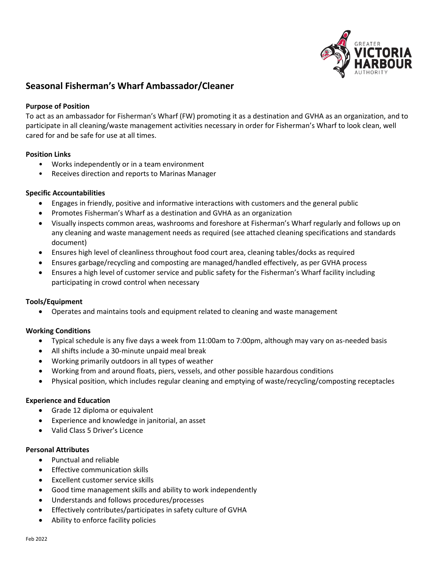

# **Seasonal Fisherman's Wharf Ambassador/Cleaner**

#### **Purpose of Position**

To act as an ambassador for Fisherman's Wharf (FW) promoting it as a destination and GVHA as an organization, and to participate in all cleaning/waste management activities necessary in order for Fisherman's Wharf to look clean, well cared for and be safe for use at all times.

#### **Position Links**

- Works independently or in a team environment
- Receives direction and reports to Marinas Manager

### **Specific Accountabilities**

- Engages in friendly, positive and informative interactions with customers and the general public
- Promotes Fisherman's Wharf as a destination and GVHA as an organization
- Visually inspects common areas, washrooms and foreshore at Fisherman's Wharf regularly and follows up on any cleaning and waste management needs as required (see attached cleaning specifications and standards document)
- Ensures high level of cleanliness throughout food court area, cleaning tables/docks as required
- Ensures garbage/recycling and composting are managed/handled effectively, as per GVHA process
- Ensures a high level of customer service and public safety for the Fisherman's Wharf facility including participating in crowd control when necessary

#### **Tools/Equipment**

• Operates and maintains tools and equipment related to cleaning and waste management

## **Working Conditions**

- Typical schedule is any five days a week from 11:00am to 7:00pm, although may vary on as-needed basis
- All shifts include a 30-minute unpaid meal break
- Working primarily outdoors in all types of weather
- Working from and around floats, piers, vessels, and other possible hazardous conditions
- Physical position, which includes regular cleaning and emptying of waste/recycling/composting receptacles

#### **Experience and Education**

- Grade 12 diploma or equivalent
- Experience and knowledge in janitorial, an asset
- Valid Class 5 Driver's Licence

#### **Personal Attributes**

- Punctual and reliable
- Effective communication skills
- Excellent customer service skills
- Good time management skills and ability to work independently
- Understands and follows procedures/processes
- Effectively contributes/participates in safety culture of GVHA
- Ability to enforce facility policies